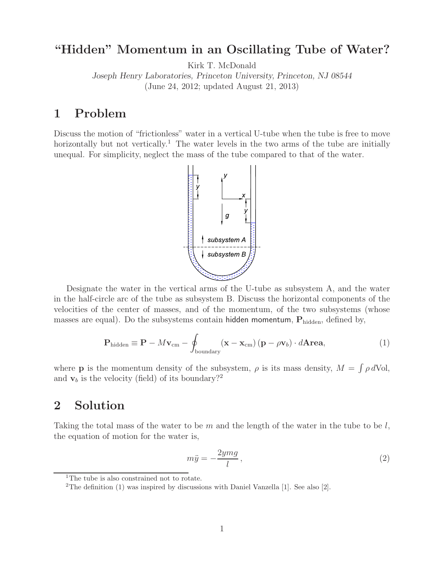## **"Hidden" Momentum in an Oscillating Tube of Water?**

Kirk T. McDonald

*Joseph Henry Laboratories, Princeton University, Princeton, NJ 08544* (June 24, 2012; updated August 21, 2013)

#### **1 Problem**

Discuss the motion of "frictionless" water in a vertical U-tube when the tube is free to move horizontally but not vertically.<sup>1</sup> The water levels in the two arms of the tube are initially unequal. For simplicity, neglect the mass of the tube compared to that of the water.



Designate the water in the vertical arms of the U-tube as subsystem A, and the water in the half-circle arc of the tube as subsystem B. Discuss the horizontal components of the velocities of the center of masses, and of the momentum, of the two subsystems (whose masses are equal). Do the subsystems contain hidden momentum,  $P_{hidden}$ , defined by,

$$
\mathbf{P}_{\text{hidden}} \equiv \mathbf{P} - M\mathbf{v}_{\text{cm}} - \oint_{\text{boundary}} (\mathbf{x} - \mathbf{x}_{\text{cm}}) (\mathbf{p} - \rho \mathbf{v}_b) \cdot d\mathbf{Area}, \tag{1}
$$

where **p** is the momentum density of the subsystem,  $\rho$  is its mass density,  $M = \int \rho dV$ ol, and  $\mathbf{v}_b$  is the velocity (field) of its boundary?<sup>2</sup>

# **2 Solution**

Taking the total mass of the water to be  $m$  and the length of the water in the tube to be  $l$ , the equation of motion for the water is,

$$
m\ddot{y} = -\frac{2ymg}{l},\tag{2}
$$

<sup>&</sup>lt;sup>1</sup>The tube is also constrained not to rotate.

<sup>&</sup>lt;sup>2</sup>The definition (1) was inspired by discussions with Daniel Vanzella [1]. See also [2].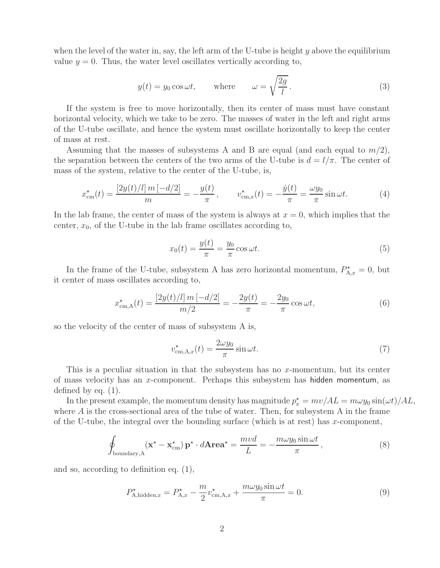when the level of the water in, say, the left arm of the U-tube is height  $y$  above the equilibrium value  $y = 0$ . Thus, the water level oscillates vertically according to,

$$
y(t) = y_0 \cos \omega t
$$
, where  $\omega = \sqrt{\frac{2g}{l}}$ . (3)

If the system is free to move horizontally, then its center of mass must have constant horizontal velocity, which we take to be zero. The masses of water in the left and right arms of the U-tube oscillate, and hence the system must oscillate horizontally to keep the center of mass at rest.

Assuming that the masses of subsystems A and B are equal (and each equal to  $m/2$ ), the separation between the centers of the two arms of the U-tube is  $d = l/\pi$ . The center of mass of the system, relative to the center of the U-tube, is,

$$
x_{\text{cm}}^{\star}(t) = \frac{[2y(t)/l] \, m \, [-d/2]}{m} = -\frac{y(t)}{\pi}, \qquad v_{\text{cm},x}^{\star}(t) = -\frac{\dot{y}(t)}{\pi} = \frac{\omega y_0}{\pi} \sin \omega t. \tag{4}
$$

In the lab frame, the center of mass of the system is always at  $x = 0$ , which implies that the center,  $x_0$ , of the U-tube in the lab frame oscillates according to,

$$
x_0(t) = \frac{y(t)}{\pi} = \frac{y_0}{\pi} \cos \omega t.
$$
 (5)

In the frame of the U-tube, subsystem A has zero horizontal momentum,  $P_{A,x}^* = 0$ , but it center of mass oscillates according to,

$$
x_{\text{cm},\text{A}}^{\star}(t) = \frac{\left[2y(t)/l\right]m\left[-d/2\right]}{m/2} = -\frac{2y(t)}{\pi} = -\frac{2y_0}{\pi}\cos\omega t,\tag{6}
$$

so the velocity of the center of mass of subsystem A is,

$$
v_{\text{cm},\text{A},x}^{\star}(t) = \frac{2\omega y_0}{\pi} \sin \omega t. \tag{7}
$$

This is a peculiar situation in that the subsystem has no x-momentum, but its center of mass velocity has an x-component. Perhaps this subsystem has hidden momentum, as defined by eq. (1).

In the present example, the momentum density has magnitude  $p_x^* = mv/AL = m\omega y_0 \sin(\omega t)/AL$ , where A is the cross-sectional area of the tube of water. Then, for subsystem A in the frame of the U-tube, the integral over the bounding surface (which is at rest) has x-component,

$$
\oint_{\text{boundary},A} (\mathbf{x}^* - \mathbf{x}_{\text{cm}}^*) \mathbf{p}^* \cdot d\mathbf{Area}^* = \frac{mvd}{L} = -\frac{m\omega y_0 \sin \omega t}{\pi},\tag{8}
$$

and so, according to definition eq. (1),

$$
P_{\mathbf{A}, \text{hidden}, x}^{\star} = P_{\mathbf{A}, x}^{\star} - \frac{m}{2} v_{\text{cm}, \mathbf{A}, x}^{\star} + \frac{m \omega y_0 \sin \omega t}{\pi} = 0. \tag{9}
$$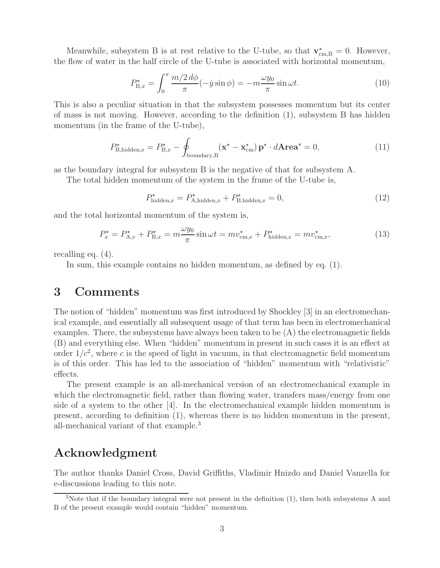Meanwhile, subsystem B is at rest relative to the U-tube, so that  $\mathbf{v}_{\text{cm},B}^{\star} = 0$ . However, the flow of water in the half circle of the U-tube is associated with horizontal momentum,

$$
P_{\mathcal{B},x}^{\star} = \int_0^\pi \frac{m/2 \, d\phi}{\pi} (-\dot{y}\sin\phi) = -m\frac{\omega y_0}{\pi} \sin\omega t. \tag{10}
$$

This is also a peculiar situation in that the subsystem possesses momentum but its center of mass is not moving. However, according to the definition (1), subsystem B has hidden momentum (in the frame of the U-tube),

$$
P_{\text{B,hidden},x}^{\star} = P_{\text{B},x}^{\star} - \oint_{\text{boundary},\text{B}} (\mathbf{x}^{\star} - \mathbf{x}_{\text{cm}}^{\star}) \mathbf{p}^{\star} \cdot d\mathbf{Area}^{\star} = 0, \tag{11}
$$

as the boundary integral for subsystem B is the negative of that for subsystem A.

The total hidden momentum of the system in the frame of the U-tube is,

$$
P_{\text{hidden},x}^{\star} = P_{\text{A},\text{hidden},x}^{\star} + P_{\text{B},\text{hidden},x}^{\star} = 0,\tag{12}
$$

and the total horizontal momentum of the system is,

$$
P_x^{\star} = P_{\mathbf{A},x}^{\star} + P_{\mathbf{B},x}^{\star} = m \frac{\omega y_0}{\pi} \sin \omega t = m v_{\mathrm{cm},x}^{\star} + P_{\mathrm{hidden},x}^{\star} = m v_{\mathrm{cm},x}^{\star},\tag{13}
$$

recalling eq. (4).

In sum, this example contains no hidden momentum, as defined by eq. (1).

#### **3 Comments**

The notion of "hidden" momentum was first introduced by Shockley [3] in an electromechanical example, and essentially all subsequent usage of that term has been in electromechanical examples. There, the subsystems have always been taken to be (A) the electromagnetic fields (B) and everything else. When "hidden" momentum in present in such cases it is an effect at order  $1/c^2$ , where c is the speed of light in vacuum, in that electromagnetic field momentum is of this order. This has led to the association of "hidden" momentum with "relativistic" effects.

The present example is an all-mechanical version of an electromechanical example in which the electromagnetic field, rather than flowing water, transfers mass/energy from one side of a system to the other [4]. In the electromechanical example hidden momentum is present, according to definition (1), whereas there is no hidden momentum in the present, all-mechanical variant of that example.<sup>3</sup>

### **Acknowledgment**

The author thanks Daniel Cross, David Griffiths, Vladimir Hnizdo and Daniel Vanzella for e-discussions leading to this note.

<sup>3</sup>Note that if the boundary integral were not present in the definition (1), then both subsystems A and B of the present example would contain "hidden" momentum.